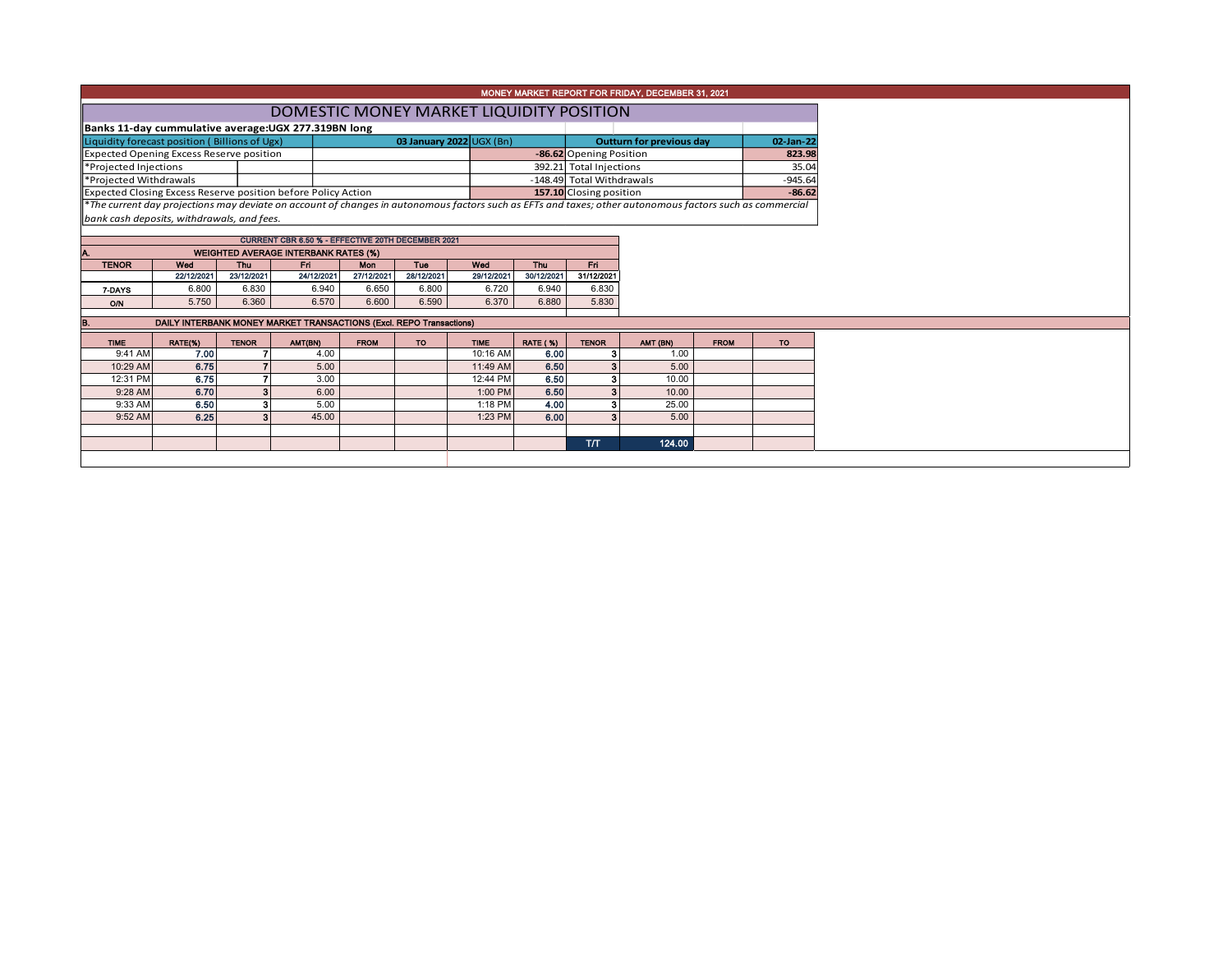|  |  | MONEY MARKET REPORT FOR FRIDAY, DECEMBER 31, 2021 |  |
|--|--|---------------------------------------------------|--|
|--|--|---------------------------------------------------|--|

|                                                                                                                                                         | DOMESTIC MONEY MARKET LIQUIDITY POSITION |                                |                           |                          |           |           |  |  |  |  |  |  |  |  |  |
|---------------------------------------------------------------------------------------------------------------------------------------------------------|------------------------------------------|--------------------------------|---------------------------|--------------------------|-----------|-----------|--|--|--|--|--|--|--|--|--|
| Banks 11-day cummulative average: UGX 277.319BN long                                                                                                    |                                          |                                |                           |                          |           |           |  |  |  |  |  |  |  |  |  |
| Liquidity forecast position (Billions of Ugx)                                                                                                           |                                          | 03 January 2022 $\cup$ GX (Bn) |                           | Outturn for previous day | 02-Jan-22 |           |  |  |  |  |  |  |  |  |  |
| Expected Opening Excess Reserve position                                                                                                                |                                          |                                |                           | -86.62 Opening Position  |           |           |  |  |  |  |  |  |  |  |  |
| Projected Injections                                                                                                                                    |                                          |                                |                           | 392.21 Total Injections  |           | 35.04     |  |  |  |  |  |  |  |  |  |
| Projected Withdrawals                                                                                                                                   |                                          |                                | -148.49 Total Withdrawals |                          |           | $-945.64$ |  |  |  |  |  |  |  |  |  |
| Expected Closing Excess Reserve position before Policy Action                                                                                           |                                          |                                |                           | 157.10 Closing position  |           | $-86.62$  |  |  |  |  |  |  |  |  |  |
| The current day projections may deviate on account of changes in autonomous factors such as EFTs and taxes; other autonomous factors such as commercial |                                          |                                |                           |                          |           |           |  |  |  |  |  |  |  |  |  |

*bank cash deposits, withdrawals, and fees.*

|              | <b>CURRENT CBR 6.50 % - EFFECTIVE 20TH DECEMBER 2021</b> |            |            |            |            |            |            |            |  |  |  |  |  |  |  |
|--------------|----------------------------------------------------------|------------|------------|------------|------------|------------|------------|------------|--|--|--|--|--|--|--|
| А.           | <b>WEIGHTED AVERAGE INTERBANK RATES (%)</b>              |            |            |            |            |            |            |            |  |  |  |  |  |  |  |
| <b>TENOR</b> | Wed                                                      | Thu        | Fri        | <b>Mon</b> | Tue        | Wed        | <b>Thu</b> | FП         |  |  |  |  |  |  |  |
|              | 22/12/2021                                               | 23/12/2021 | 24/12/2021 | 27/12/2021 | 28/12/2021 | 29/12/2021 | 30/12/2021 | 31/12/2021 |  |  |  |  |  |  |  |
| 7-DAYS       | 6.800                                                    | 6.830      | 6.940      | 6.650      | 6.800      | 6.720      | 6.940      | 6.830      |  |  |  |  |  |  |  |
| O/N          | 5.750                                                    | 6.360      | 6.570      | 6.600      | 6.590      | 6.370      | 6.880      | 5.830      |  |  |  |  |  |  |  |
|              |                                                          |            |            |            |            |            |            |            |  |  |  |  |  |  |  |

| IB.         |         |              | DAILY INTERBANK MONEY MARKET TRANSACTIONS (Excl. REPO Transactions) |             |     |             |                 |              |          |             |           |
|-------------|---------|--------------|---------------------------------------------------------------------|-------------|-----|-------------|-----------------|--------------|----------|-------------|-----------|
| <b>TIME</b> | RATE(%) | <b>TENOR</b> | AMT(BN)                                                             | <b>FROM</b> | TO. | <b>TIME</b> | <b>RATE (%)</b> | <b>TENOR</b> | AMT (BN) | <b>FROM</b> | <b>TO</b> |
| 9:41 AM     | 7.00    |              | 4.00                                                                |             |     | 10:16 AM    | 6.00            |              | 1.00     |             |           |
| 10:29 AM    | 6.75    |              | 5.00                                                                |             |     | 11:49 AM    | 6.50            |              | 5.00     |             |           |
| 12:31 PM    | 6.75    |              | 3.00                                                                |             |     | 12:44 PM    | 6.50            |              | 10.00    |             |           |
| 9:28 AM     | 6.70    |              | 6.00                                                                |             |     | 1:00 PM     | 6.50            |              | 10.00    |             |           |
| 9:33 AM     | 6.50    |              | 5.00                                                                |             |     | $1:18$ PM   | 4.00            |              | 25.00    |             |           |
| 9:52 AM     | 6.25    |              | 45.00                                                               |             |     | $1:23$ PM   | 6.00            |              | 5.00     |             |           |
|             |         |              |                                                                     |             |     |             |                 |              |          |             |           |
|             |         |              |                                                                     |             |     |             |                 | <b>T/T</b>   | 124.00   |             |           |
|             |         |              |                                                                     |             |     |             |                 |              |          |             |           |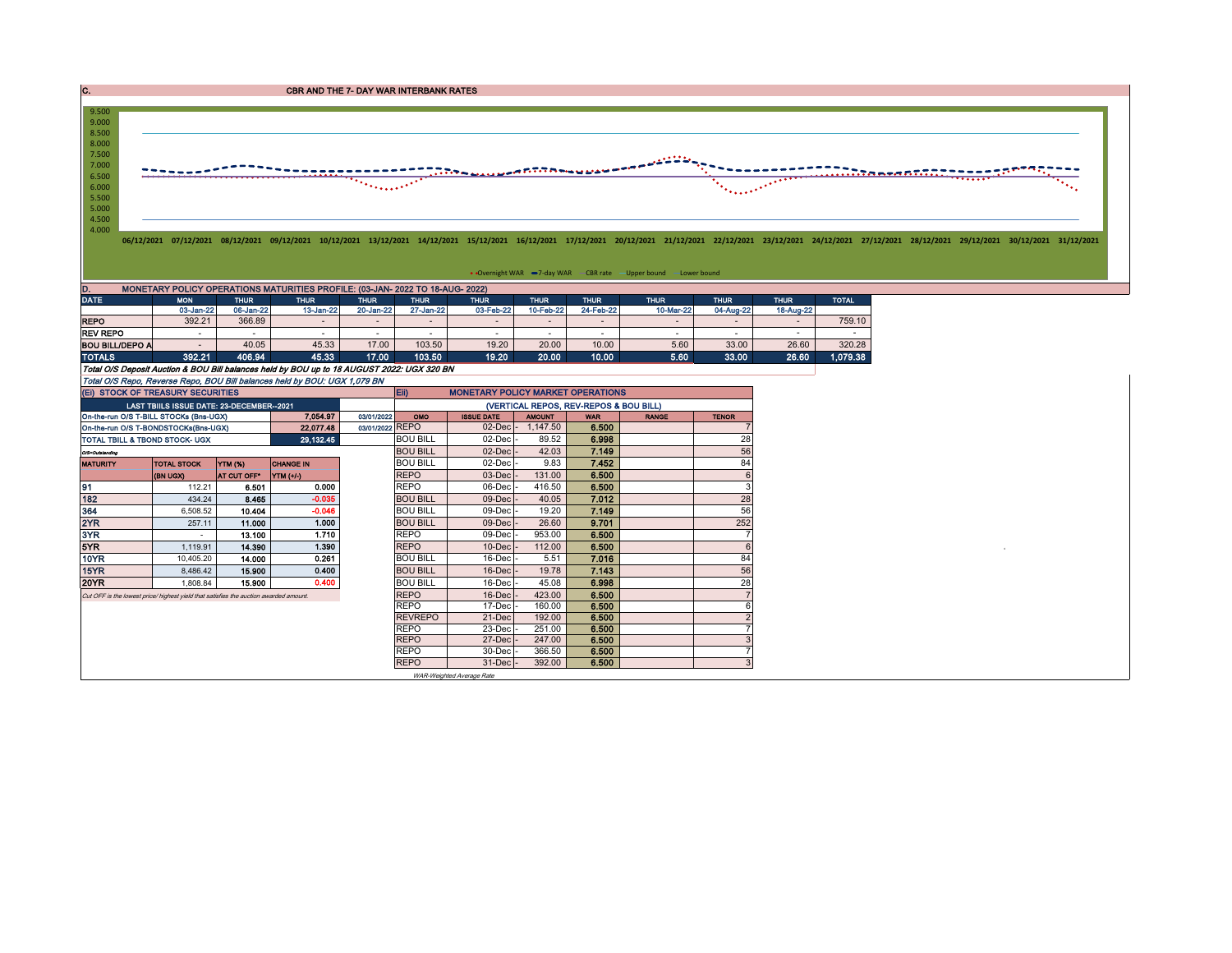**CBR AND THE 7- DAY WAR INTERBANK RATES** 



• Overnight WAR -7-day WAR - CBR rate - Upper bound - Lower bound

| D.<br>MONETARY POLICY OPERATIONS MATURITIES PROFILE: (03-JAN- 2022 TO 18-AUG- 2022)<br><b>DATE</b> |                        |           |                          |               |             |             |             |           |                          |             |              |  |  |  |
|----------------------------------------------------------------------------------------------------|------------------------|-----------|--------------------------|---------------|-------------|-------------|-------------|-----------|--------------------------|-------------|--------------|--|--|--|
| <b>MON</b><br><b>THUR</b>                                                                          |                        | THUR '    | <b>THUR</b>              | <b>THUR</b>   | <b>THUR</b> | <b>THUR</b> | <b>THUR</b> |           | <b>THUR</b>              | <b>THUR</b> | <b>TOTAL</b> |  |  |  |
|                                                                                                    |                        |           |                          |               |             |             |             | 10-Mar-22 | 04-Aug-22                | 18-Aug-22   |              |  |  |  |
| 392.21                                                                                             | 366.89                 |           |                          |               |             |             |             |           |                          |             | 759.10       |  |  |  |
|                                                                                                    |                        |           | $\overline{\phantom{a}}$ |               |             |             |             | ٠         |                          |             |              |  |  |  |
|                                                                                                    | 40.05                  | 45.33     | 17.00                    | 103.50        | 19.20       | 20.00       | 10.00       | 5.60      | 33.00                    | 26.60       | 320.28       |  |  |  |
| 392.21                                                                                             | 406.94                 | 45.33     | 17.00                    | 103.50        | 19.20       | 20.00       | 10.00       | 5.60      | 33.00                    | 26.60       | 1.079.38     |  |  |  |
|                                                                                                    | <b>BOU BILL/DEPO A</b> | 03-Jan-22 | 06-Jan-22                | $13 - Jan-22$ | 20-Jan-22   | 27-Jan-22   | 03-Feb-22   | 10-Feb-22 | <b>THUR</b><br>24-Feb-22 |             |              |  |  |  |

Total O/S Deposit Auction & BOU Bill balances held by BOU up to 18 AUGUST 2022: UGX 320 BN

Total O/S Repo, Reverse Repo, BOU Bill balances held by BOU: UGX 1,079 BN

|                 | (EI) STOCK OF TREASURY SECURITIES                                                    |             |                  |                 | Eii)<br><b>MONETARY POLICY MARKET OPERATIONS</b> |                           |                                        |            |              |              |  |  |
|-----------------|--------------------------------------------------------------------------------------|-------------|------------------|-----------------|--------------------------------------------------|---------------------------|----------------------------------------|------------|--------------|--------------|--|--|
|                 | LAST TBIILS ISSUE DATE: 23-DECEMBER--2021                                            |             |                  |                 |                                                  |                           | (VERTICAL REPOS, REV-REPOS & BOU BILL) |            |              |              |  |  |
|                 | On-the-run O/S T-BILL STOCKs (Bns-UGX)                                               |             | 7.054.97         | 03/01/2022      | OMO                                              | <b>ISSUE DATE</b>         | <b>AMOUNT</b>                          | <b>WAR</b> | <b>RANGE</b> | <b>TENOR</b> |  |  |
|                 | On-the-run O/S T-BONDSTOCKs(Bns-UGX)                                                 |             | 22,077.48        | 03/01/2022 REPO |                                                  | $02$ -Dec $ -$            | 1.147.50                               | 6.500      |              |              |  |  |
|                 | TOTAL TBILL & TBOND STOCK- UGX                                                       |             | 29,132.45        |                 | <b>BOU BILL</b>                                  | $02$ -Dec $\cdot$         | 89.52                                  | 6.998      |              | 28           |  |  |
| O/S=Outstanding |                                                                                      |             |                  |                 | <b>BOU BILL</b>                                  | $02$ -Dec                 | 42.03                                  | 7.149      |              | 56           |  |  |
| MATURITY        | <b>TOTAL STOCK</b>                                                                   | YTM (%)     | <b>CHANGE IN</b> |                 | <b>BOU BILL</b>                                  | 02-Dec                    | 9.83                                   | 7.452      |              | 84           |  |  |
|                 | (BN UGX)                                                                             | AT CUT OFF* | <b>YTM (+/-)</b> |                 | <b>REPO</b>                                      | $03$ -Dec                 | 131.00                                 | 6.500      |              |              |  |  |
| 91              | 112.21                                                                               | 6.501       | 0.000            |                 | <b>REPO</b>                                      | 06-Dec                    | 416.50                                 | 6.500      |              |              |  |  |
| 182             | 434.24                                                                               | 8.465       | $-0.035$         |                 | <b>BOU BILL</b>                                  | 09-Dec                    | 40.05                                  | 7.012      |              | 28           |  |  |
| 364             | 6,508.52                                                                             | 10.404      | $-0.046$         |                 | <b>BOU BILL</b>                                  | 09-Dec                    | 19.20                                  | 7.149      |              | 56           |  |  |
| 2YR             | 257.11                                                                               | 11.000      | 1.000            |                 | <b>BOU BILL</b>                                  | $09$ -Dec                 | 26.60                                  | 9.701      |              | 252          |  |  |
| 3YR             |                                                                                      | 13.100      | 1.710            |                 | <b>REPO</b>                                      | 09-Dec                    | 953.00                                 | 6.500      |              |              |  |  |
| 5YR.            | 1,119.91                                                                             | 14.390      | 1.390            |                 | <b>REPO</b>                                      | $10$ -Dec                 | 112.00                                 | 6.500      |              |              |  |  |
| 10YR            | 10.405.20                                                                            | 14.000      | 0.261            |                 | <b>BOU BILL</b>                                  | $16$ -Dec                 | 5.51                                   | 7.016      |              | 84           |  |  |
| 15YR            | 8,486.42                                                                             | 15.900      | 0.400            |                 | <b>BOU BILL</b>                                  | $16$ -Dec                 | 19.78                                  | 7.143      |              | 56           |  |  |
| 20YR            | 1.808.84                                                                             | 15,900      | 0.400            |                 | <b>BOU BILL</b>                                  | $16$ -Dec                 | 45.08                                  | 6.998      |              | 28           |  |  |
|                 | Cut OFF is the lowest price/highest yield that satisfies the auction awarded amount. |             |                  |                 | <b>REPO</b>                                      | $16$ -Dec                 | 423.00                                 | 6.500      |              |              |  |  |
|                 |                                                                                      |             |                  |                 | <b>REPO</b>                                      | $17$ -Dec                 | 160.00                                 | 6.500      |              | 6            |  |  |
|                 |                                                                                      |             |                  |                 | <b>REVREPO</b>                                   | $21-Dec$                  | 192.00                                 | 6.500      |              |              |  |  |
|                 |                                                                                      |             |                  |                 | <b>REPO</b>                                      | $23$ -Dec                 | 251.00                                 | 6.500      |              |              |  |  |
|                 |                                                                                      |             |                  |                 | <b>REPO</b>                                      | 27-Dec -                  | 247.00                                 | 6.500      |              |              |  |  |
|                 |                                                                                      |             |                  |                 | <b>REPO</b>                                      | $30$ -Dec $\cdot$         | 366.50                                 | 6.500      |              |              |  |  |
|                 |                                                                                      |             |                  |                 | <b>REPO</b>                                      | $31$ -Dec $-$             | 392.00                                 | 6.500      |              |              |  |  |
|                 |                                                                                      |             |                  |                 |                                                  | WAR-Weighted Average Rate |                                        |            |              |              |  |  |